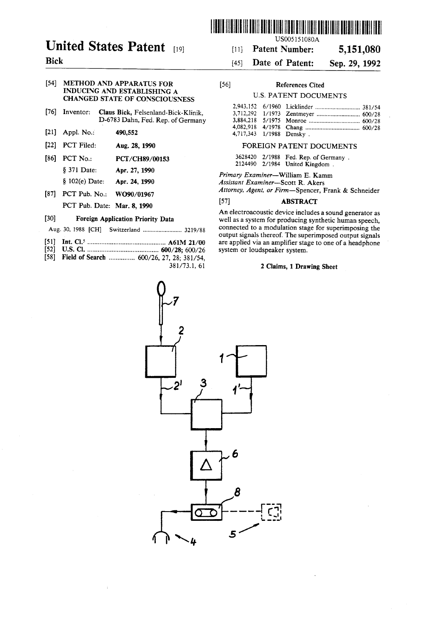

# United States Patent [19]

Bick

#### 54) METHOD AND APPARATUS FOR NDUCING AND ESTABLISHING A CHANGED STATE OF CONSCIOUSNESS

- [76] Inventor: Claus Bick, Felsenland-Bick-Klinik,<br>D-6783 Dahn, Fed. Rep. of Germany
- 21) Appl. No.: 490,552
- (22) PCT Filed: Aug. 28, 1990
- 86) PCT No.: PCT/CH89/00153 S371 Date: Apr. 27, 1990
- § 102(e) Date: Apr. 24, 1990
- [87] PCT Pub. No.: WO90/01967 PCT Pub. Date: Mar. 8, 1990

### (30) Foreign Application Priority Data

Aug. 30, 1988 (CH) Switzerland ......................... 3219/88

- 51) Int. Cl. ............................................. A61M 21/00
- 52 U.S. C. ......................................... 600/28; 600/26
- [58] Field of Search ................ 600/26, 27, 28; 381/54, 381/73.1, 61

# [11] Patent Number:

## 5,151,080

#### [45] **Date of Patent:** Sep. 29, 1992

### 56) References Cited

#### U.S. PATENT DOCUMENTS

|  | 2,943,152 6/1960 Licklinder  381/54 |  |
|--|-------------------------------------|--|
|  | 3,712,292 1/1973 Zentmeyer  600/28  |  |
|  |                                     |  |
|  |                                     |  |
|  | 4,717,343 1/1988 Densky.            |  |

#### FOREIGN PATENT DOCUMENTS

3628420 2/1988 Fed. Rep. of Germany . 2124490 2/1984 United Kingdom .

Primary Examiner-William E. Kamm

Assistant Examiner-Scott R. Akers

Attorney, Agent, or Firm-Spencer, Frank & Schneider

#### [57] **ABSTRACT**

An electroacoustic device includes a sound generator as well as a system for producing synthetic human speech, connected to a modulation stage for superimposing the output signals thereof. The superimposed output signals are applied via an amplifier stage to one of a headphone system or loudspeaker system.

#### 2 Claims, 1 Drawing Sheet

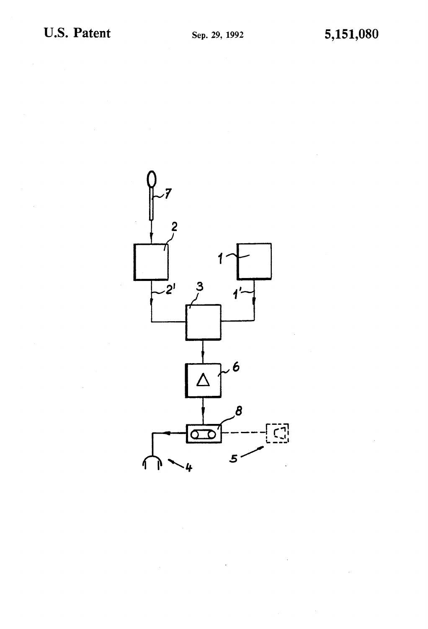$\ddot{\phantom{a}}$ 

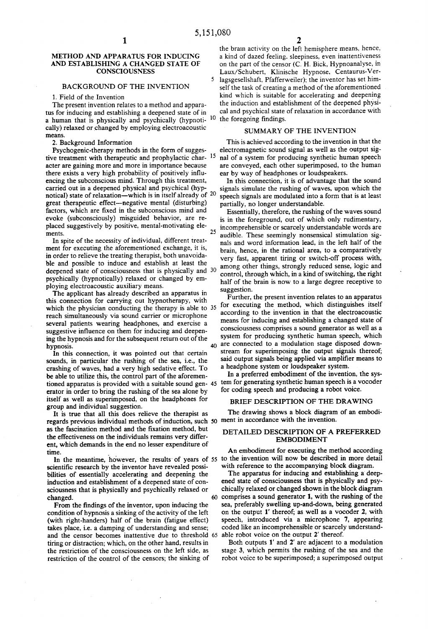5

#### METHOD AND APPARATUS FOR INDUCING AND ESTABLISHING A CHANGED STATE OF CONSCIOUSNESS

#### BACKGROUND OF THE INVENTION

1. Field of the Invention<br>The present invention relates to a method and apparatus for inducing and establishing a deepened state of in<br>a human that is physically and psychically (hypnotically) relaxed or changed by employing electroacoustic means. O

2. Background Information<br>Psychogenic-therapy methods in the form of suggestive treatment with therapeutic and prophylactic character are gaining more and more in importance because there exists a very high probability of positively influ-<br>encing the subconscious mind. Through this treatment, encing the subconscious mind. Through this treatment, carried out in a deepened physical and psychical (hyp-<br>notical) state of relaxation—which is in itself already of 20 great therapeutic effect-negative mental (disturbing) factors, which are fixed in the subconscious mind and evoke (subconsciously) misguided behavior, are re placed suggestively by positive, mental-motivating ele ments. 5 25

In spite of the necessity of individual, different treat-<br>ment for executing the aforementioned exchange, it is, in order to relieve the treating therapist, both unavoidable and possible to induce and establish at least the deepened state of consciousness that is physically and 30 psychically (hypnotically) relaxed or changed by em ploying electroacoustic auxiliary means.

The applicant has already described an apparatus in this connection for carrying out hypnotherapy, with which the physician conducting the therapy is able to 35 reach simultaneously via sound carrier or microphone several patients wearing headphones, and exercise a suggestive influence on them for inducing and deepening the hypnosis and for the subsequent return out of the<br>hypnosis  $\frac{40}{2}$ hypnosis.

In this connection, it was pointed out that certain sounds, in particular the rushing of the sea, i.e., the crashing of waves, had a very high sedative effect. To be able to utilize this, the control part of the aforemen tioned apparatus is provided with a suitable sound gen- 45 erator in order to bring the rushing of the sea alone by itself as well as superimposed, on the headphones for

group and individual suggestion.<br>It is true that all this does relieve the therapist as It is true that all this does relieve the therapist as regards previous individual methods of induction, such 50 ment in accordance with the invention. as the fascination method and the fixation method, but the effectiveness on the individuals remains very differ ent, which demands in the end no lesser expenditure of time.

scientific research by the inventor have revealed possibilities of essentially accelerating and deepening the induction and establishment of a deepened state of con sciousness that is physically and psychically relaxed or changed. changed.

From the findings of the inventor, upon inducing the condition of hypnosis a sinking of the activity of the left (with right-handers) half of the brain (fatigue effect) takes place, i.e. a damping of understanding and sense; and the censor becomes inattentive due to threshold 65 tiring or distraction; which, on the other hand, results in the restriction of the consciousness on the left side, as restriction of the control of the censors; the sinking of

the brain activity on the left hemisphere means, hence, a kind of dazed feeling, sleepiness, even inattentiveness on the part of the censor (C. H. Bick, Hypnoanalyse, in Laux/Schubert, Klinische Hypnose, Centaurus-Ver lagsgesellshaft, Pfafferweiler); the inventor has set him self the task of creating a method of the aforementioned<br>kind which is suitable for accelerating and deepening the induction and establishment of the deepened physical and psychical state of relaxation in accordance with the foregoing findings.

#### SUMMARY OF THE INVENTION

This is achieved according to the invention in that the electromagnetic sound signal as well as the output signal of a system for producing synthetic human speech are conveyed, each other superimposed, to the human ear by way of headphones or loudspeakers.

In this connection, it is of advantage that the sound signals simulate the rushing of waves, upon which the speech signals are modulated into a form that is at least partially, no longer understandable.

Essentially, therefore, the rushing of the waves sound<br>is in the foreground, out of which only rudimentary, incomprehensible or scarcely understandable words are audible. These seemingly nonsensical stimulation sig nals and word information lead, in the left half of the brain, hence, in the rational area, to a comparatively very fast, apparent tiring or switch-off process with, among other things, strongly reduced sense, logic and control, through which, in a kind of switching, the right half of the brain is now to a large degree receptive to suggestion.

Further, the present invention relates to an apparatus for executing the method, which distinguishes itself according to the invention in that the electroacoustic means for inducing and establishing a changed state of consciousness comprises a sound generator as well as a system for producing synthetic human speech, which are connected to a modulation stage disposed down stream for superimposing the output signals thereof; said output signals being applied via amplifier means to a headphone system or loudspeaker system.

In a preferred embodiment of the invention, the sys tem for generating synthetic human speech is a vocoder for coding speech and producing a robot voice.

#### BRIEF DESCRIPTION OF THE DRAWING

The drawing shows a block diagram of an embodi

#### DETAILED DESCRIPTION OF A PREFERRED EMBODIMENT

In the meantime, however, the results of years of 55 to the invention will now be described in more detail An embodiment for executing the method according

with reference to the accompanying block diagram.<br>The apparatus for inducing and establishing a deepened state of consciousness that is physically and psychically relaxed or changed shown in the block diagram comprises a sound generator 1, with the rushing of the sea, preferably swelling up-and-down, being generated on the output 1' thereof; as well as a vocoder 2, with speech, introduced via a microphone 7, appearing coded like an incomprehensible or scarcely understand able robot voice on the output 2' thereof.

Both outputs 1' and 2' are adjacent to a modulation stage 3, which permits the rushing of the sea and the robot voice to be superimposed; a superimposed output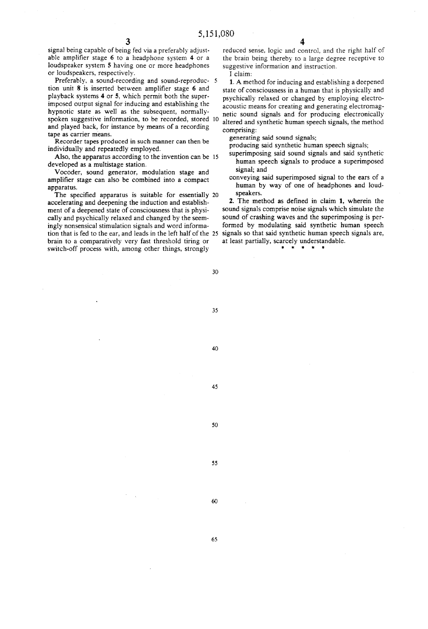signal being capable of being fed via a preferably adjustable amplifier stage 6 to a headphone system 4 or a loudspeaker system 5 having one or more headphones or loudspeakers, respectively.

or loudspeakers, respectively.<br>Preferably, a sound-recording and sound-reproduc- 5 tion unit  $8$  is inserted between amplifier stage  $6$  and playback systems  $4$  or  $5$ , which permit both the superimposed output signal for inducing and establishing the hypnotic state as well as the subsequent, normally spoken suggestive information, to be recorded, stored 10 and played back, for instance by means of a recording tape as carrier means.

Recorder tapes produced in such manner can then be individually and repeatedly employed.

Also, the apparatus according to the invention can be 15 developed as a multistage station.

Vocoder, sound generator, modulation stage and amplifier stage can also be combined into a compact apparatus.

accelerating and deepening the induction and establishment of a deepened state of consciousness that is physically and psychically relaxed and changed by the seemingly nonsensical stimulation signals and word informa tion that is fed to the ear, and leads in the left half of the 25 brain to a comparatively very fast threshold tiring or switch-off process with, among other things, strongly The specified apparatus is suitable for essentially 20

reduced sense, logic and control, and the right half of the brain being thereby to a large degree receptive to suggestive information and instruction.

I claim:

1. A method for inducing and establishing a deepened state of consciousness in a human that is physically and psychically relaxed or changed by employing electro acoustic means for creating and generating electromagnetic sound signals and for producing electronically altered and synthetic human speech signals, the method comprising:

generating said sound signals; producing said synthetic human speech signals;

- human speech signals to produce a superimposed signal; and
- conveying said superimposed signal to the ears of a human by way of one of headphones and loud speakers.

2. The method as defined in claim 1, wherein the sound signals comprise noise signals which simulate the sound of crashing waves and the superimposing is per formed by modulating said synthetic human speech signals so that said synthetic human speech signals are, at least partially, scarcely understandable.

30

35

40

45

SO

55

60

65